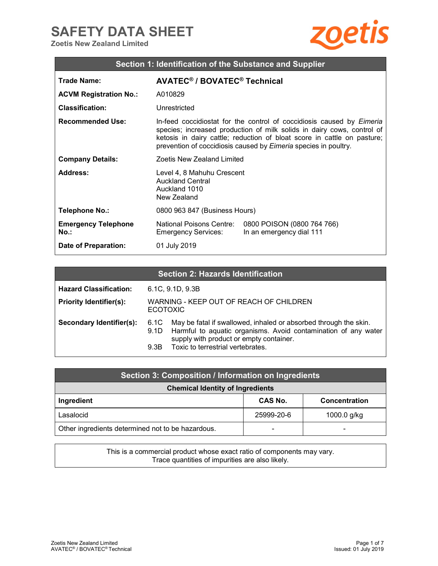## **SAFETY DATA SHEET**

**Zoetis New Zealand Limited** 



| Section 1: Identification of the Substance and Supplier |                                                                                                                                                                                                                                                                                                      |                                                        |  |
|---------------------------------------------------------|------------------------------------------------------------------------------------------------------------------------------------------------------------------------------------------------------------------------------------------------------------------------------------------------------|--------------------------------------------------------|--|
| Trade Name:                                             | AVATEC <sup>®</sup> / BOVATEC <sup>®</sup> Technical                                                                                                                                                                                                                                                 |                                                        |  |
| <b>ACVM Registration No.:</b>                           | A010829                                                                                                                                                                                                                                                                                              |                                                        |  |
| <b>Classification:</b>                                  | Unrestricted                                                                                                                                                                                                                                                                                         |                                                        |  |
| <b>Recommended Use:</b>                                 | In-feed coccidiostat for the control of coccidiosis caused by Eimeria<br>species; increased production of milk solids in dairy cows, control of<br>ketosis in dairy cattle; reduction of bloat score in cattle on pasture;<br>prevention of coccidiosis caused by <i>Eimeria</i> species in poultry. |                                                        |  |
| <b>Company Details:</b>                                 | Zoetis New Zealand Limited                                                                                                                                                                                                                                                                           |                                                        |  |
| Address:                                                | Level 4, 8 Mahuhu Crescent<br><b>Auckland Central</b><br>Auckland 1010<br>New Zealand                                                                                                                                                                                                                |                                                        |  |
| Telephone No.:                                          | 0800 963 847 (Business Hours)                                                                                                                                                                                                                                                                        |                                                        |  |
| <b>Emergency Telephone</b><br>$No.$ :                   | <b>National Poisons Centre:</b><br>Emergency Services:                                                                                                                                                                                                                                               | 0800 POISON (0800 764 766)<br>In an emergency dial 111 |  |
| <b>Date of Preparation:</b>                             | 01 July 2019                                                                                                                                                                                                                                                                                         |                                                        |  |

| <b>Section 2: Hazards Identification</b> |                                                            |                                                                                                                                                                                                                    |  |
|------------------------------------------|------------------------------------------------------------|--------------------------------------------------------------------------------------------------------------------------------------------------------------------------------------------------------------------|--|
| <b>Hazard Classification:</b>            |                                                            | 6.1C, 9.1D, 9.3B                                                                                                                                                                                                   |  |
| <b>Priority Identifier(s):</b>           | WARNING - KEEP OUT OF REACH OF CHILDREN<br><b>ECOTOXIC</b> |                                                                                                                                                                                                                    |  |
| Secondary Identifier(s):                 | 6.1C<br>9.1D<br>9.3B                                       | May be fatal if swallowed, inhaled or absorbed through the skin.<br>Harmful to aquatic organisms. Avoid contamination of any water<br>supply with product or empty container.<br>Toxic to terrestrial vertebrates. |  |

| Section 3: Composition / Information on Ingredients |                |               |
|-----------------------------------------------------|----------------|---------------|
| <b>Chemical Identity of Ingredients</b>             |                |               |
| Ingredient                                          | <b>CAS No.</b> | Concentration |
| Lasalocid                                           | 25999-20-6     | 1000.0 g/kg   |
| Other ingredients determined not to be hazardous.   | -              |               |

This is a commercial product whose exact ratio of components may vary. Trace quantities of impurities are also likely.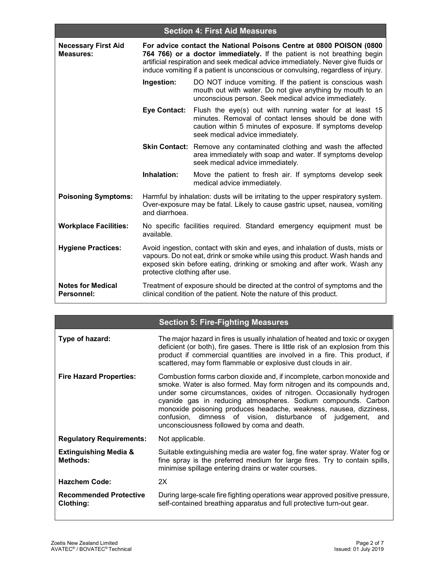| <b>Section 4: First Aid Measures</b>    |                                                                                                                                                                                                                                                                                                                        |                                                                                                                                                                                                                                            |
|-----------------------------------------|------------------------------------------------------------------------------------------------------------------------------------------------------------------------------------------------------------------------------------------------------------------------------------------------------------------------|--------------------------------------------------------------------------------------------------------------------------------------------------------------------------------------------------------------------------------------------|
| <b>Necessary First Aid</b><br>Measures: | For advice contact the National Poisons Centre at 0800 POISON (0800<br>764 766) or a doctor immediately. If the patient is not breathing begin<br>artificial respiration and seek medical advice immediately. Never give fluids or<br>induce vomiting if a patient is unconscious or convulsing, regardless of injury. |                                                                                                                                                                                                                                            |
|                                         | Ingestion:                                                                                                                                                                                                                                                                                                             | DO NOT induce vomiting. If the patient is conscious wash<br>mouth out with water. Do not give anything by mouth to an<br>unconscious person. Seek medical advice immediately.                                                              |
|                                         | <b>Eye Contact:</b>                                                                                                                                                                                                                                                                                                    | Flush the eye(s) out with running water for at least 15<br>minutes. Removal of contact lenses should be done with<br>caution within 5 minutes of exposure. If symptoms develop<br>seek medical advice immediately.                         |
|                                         |                                                                                                                                                                                                                                                                                                                        | Skin Contact: Remove any contaminated clothing and wash the affected<br>area immediately with soap and water. If symptoms develop<br>seek medical advice immediately.                                                                      |
|                                         | Inhalation:                                                                                                                                                                                                                                                                                                            | Move the patient to fresh air. If symptoms develop seek<br>medical advice immediately.                                                                                                                                                     |
| <b>Poisoning Symptoms:</b>              | and diarrhoea.                                                                                                                                                                                                                                                                                                         | Harmful by inhalation: dusts will be irritating to the upper respiratory system.<br>Over-exposure may be fatal. Likely to cause gastric upset, nausea, vomiting                                                                            |
| <b>Workplace Facilities:</b>            | available.                                                                                                                                                                                                                                                                                                             | No specific facilities required. Standard emergency equipment must be                                                                                                                                                                      |
| <b>Hygiene Practices:</b>               | protective clothing after use.                                                                                                                                                                                                                                                                                         | Avoid ingestion, contact with skin and eyes, and inhalation of dusts, mists or<br>vapours. Do not eat, drink or smoke while using this product. Wash hands and<br>exposed skin before eating, drinking or smoking and after work. Wash any |
| <b>Notes for Medical</b><br>Personnel:  |                                                                                                                                                                                                                                                                                                                        | Treatment of exposure should be directed at the control of symptoms and the<br>clinical condition of the patient. Note the nature of this product.                                                                                         |

|  | <b>Section 5: Fire-Fighting Measures</b> |
|--|------------------------------------------|
|  |                                          |

| Type of hazard:                                     | The major hazard in fires is usually inhalation of heated and toxic or oxygen<br>deficient (or both), fire gases. There is little risk of an explosion from this<br>product if commercial quantities are involved in a fire. This product, if<br>scattered, may form flammable or explosive dust clouds in air.                                                                                                                                                              |  |
|-----------------------------------------------------|------------------------------------------------------------------------------------------------------------------------------------------------------------------------------------------------------------------------------------------------------------------------------------------------------------------------------------------------------------------------------------------------------------------------------------------------------------------------------|--|
| <b>Fire Hazard Properties:</b>                      | Combustion forms carbon dioxide and, if incomplete, carbon monoxide and<br>smoke. Water is also formed. May form nitrogen and its compounds and,<br>under some circumstances, oxides of nitrogen. Occasionally hydrogen<br>cyanide gas in reducing atmospheres. Sodium compounds. Carbon<br>monoxide poisoning produces headache, weakness, nausea, dizziness,<br>confusion, dimness of vision, disturbance of judgement, and<br>unconsciousness followed by coma and death. |  |
| <b>Regulatory Requirements:</b>                     | Not applicable.                                                                                                                                                                                                                                                                                                                                                                                                                                                              |  |
| <b>Extinguishing Media &amp;</b><br><b>Methods:</b> | Suitable extinguishing media are water fog, fine water spray. Water fog or<br>fine spray is the preferred medium for large fires. Try to contain spills,<br>minimise spillage entering drains or water courses.                                                                                                                                                                                                                                                              |  |
| <b>Hazchem Code:</b>                                | 2X                                                                                                                                                                                                                                                                                                                                                                                                                                                                           |  |
| <b>Recommended Protective</b><br>Clothing:          | During large-scale fire fighting operations wear approved positive pressure,<br>self-contained breathing apparatus and full protective turn-out gear.                                                                                                                                                                                                                                                                                                                        |  |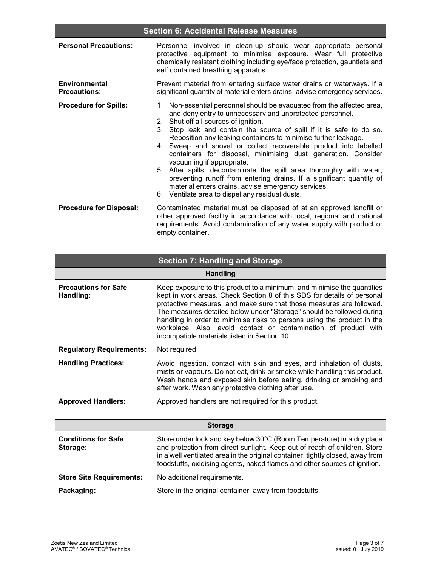|                                             | <b>Section 6: Accidental Release Measures</b>                                                                                                                                                                                                                                                                                                                                                                                                                                                                                                                                                                                                                                                                                                   |
|---------------------------------------------|-------------------------------------------------------------------------------------------------------------------------------------------------------------------------------------------------------------------------------------------------------------------------------------------------------------------------------------------------------------------------------------------------------------------------------------------------------------------------------------------------------------------------------------------------------------------------------------------------------------------------------------------------------------------------------------------------------------------------------------------------|
| <b>Personal Precautions:</b>                | Personnel involved in clean-up should wear appropriate personal<br>protective equipment to minimise exposure. Wear full protective<br>chemically resistant clothing including eye/face protection, gauntlets and<br>self contained breathing apparatus.                                                                                                                                                                                                                                                                                                                                                                                                                                                                                         |
| <b>Environmental</b><br><b>Precautions:</b> | Prevent material from entering surface water drains or waterways. If a<br>significant quantity of material enters drains, advise emergency services.                                                                                                                                                                                                                                                                                                                                                                                                                                                                                                                                                                                            |
| <b>Procedure for Spills:</b>                | 1. Non-essential personnel should be evacuated from the affected area,<br>and deny entry to unnecessary and unprotected personnel.<br>2. Shut off all sources of ignition.<br>3. Stop leak and contain the source of spill if it is safe to do so.<br>Reposition any leaking containers to minimise further leakage.<br>4. Sweep and shovel or collect recoverable product into labelled<br>containers for disposal, minimising dust generation. Consider<br>vacuuming if appropriate.<br>5. After spills, decontaminate the spill area thoroughly with water,<br>preventing runoff from entering drains. If a significant quantity of<br>material enters drains, advise emergency services.<br>6. Ventilate area to dispel any residual dusts. |
| <b>Procedure for Disposal:</b>              | Contaminated material must be disposed of at an approved landfill or<br>other approved facility in accordance with local, regional and national<br>requirements. Avoid contamination of any water supply with product or<br>empty container.                                                                                                                                                                                                                                                                                                                                                                                                                                                                                                    |

|                                          | <b>Section 7: Handling and Storage</b>                                                                                                                                                                                                                                                                                                                                                                                                                                                            |  |  |
|------------------------------------------|---------------------------------------------------------------------------------------------------------------------------------------------------------------------------------------------------------------------------------------------------------------------------------------------------------------------------------------------------------------------------------------------------------------------------------------------------------------------------------------------------|--|--|
|                                          | <b>Handling</b>                                                                                                                                                                                                                                                                                                                                                                                                                                                                                   |  |  |
| <b>Precautions for Safe</b><br>Handling: | Keep exposure to this product to a minimum, and minimise the quantities<br>kept in work areas. Check Section 8 of this SDS for details of personal<br>protective measures, and make sure that those measures are followed.<br>The measures detailed below under "Storage" should be followed during<br>handling in order to minimise risks to persons using the product in the<br>workplace. Also, avoid contact or contamination of product with<br>incompatible materials listed in Section 10. |  |  |
| <b>Regulatory Requirements:</b>          | Not required.                                                                                                                                                                                                                                                                                                                                                                                                                                                                                     |  |  |
| <b>Handling Practices:</b>               | Avoid ingestion, contact with skin and eyes, and inhalation of dusts,<br>mists or vapours. Do not eat, drink or smoke while handling this product.<br>Wash hands and exposed skin before eating, drinking or smoking and<br>after work. Wash any protective clothing after use.                                                                                                                                                                                                                   |  |  |
| <b>Approved Handlers:</b>                | Approved handlers are not required for this product.                                                                                                                                                                                                                                                                                                                                                                                                                                              |  |  |

|                                        | <b>Storage</b>                                                                                                                                                                                                                                                                                                    |
|----------------------------------------|-------------------------------------------------------------------------------------------------------------------------------------------------------------------------------------------------------------------------------------------------------------------------------------------------------------------|
| <b>Conditions for Safe</b><br>Storage: | Store under lock and key below 30°C (Room Temperature) in a dry place<br>and protection from direct sunlight. Keep out of reach of children. Store<br>in a well ventilated area in the original container, tightly closed, away from<br>foodstuffs, oxidising agents, naked flames and other sources of ignition. |
| <b>Store Site Requirements:</b>        | No additional requirements.                                                                                                                                                                                                                                                                                       |
| Packaging:                             | Store in the original container, away from foodstuffs.                                                                                                                                                                                                                                                            |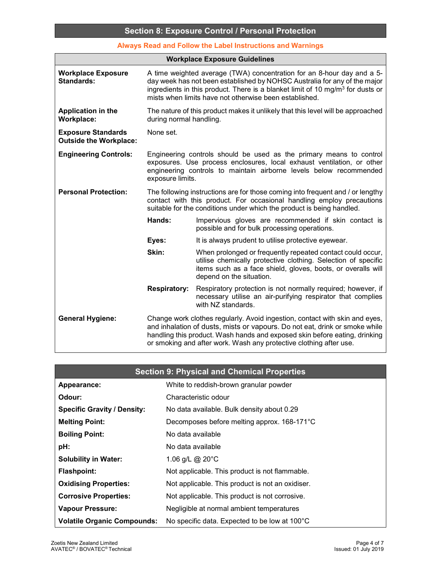**Always Read and Follow the Label Instructions and Warnings** 

| <b>Workplace Exposure Guidelines</b>                       |                                                                                                                                                                                                                                  |                                                                                                                                                                                                                                                                                                                |
|------------------------------------------------------------|----------------------------------------------------------------------------------------------------------------------------------------------------------------------------------------------------------------------------------|----------------------------------------------------------------------------------------------------------------------------------------------------------------------------------------------------------------------------------------------------------------------------------------------------------------|
| <b>Workplace Exposure</b><br><b>Standards:</b>             |                                                                                                                                                                                                                                  | A time weighted average (TWA) concentration for an 8-hour day and a 5-<br>day week has not been established by NOHSC Australia for any of the major<br>ingredients in this product. There is a blanket limit of 10 mg/m <sup>3</sup> for dusts or<br>mists when limits have not otherwise been established.    |
| <b>Application in the</b><br><b>Workplace:</b>             | The nature of this product makes it unlikely that this level will be approached<br>during normal handling.                                                                                                                       |                                                                                                                                                                                                                                                                                                                |
| <b>Exposure Standards</b><br><b>Outside the Workplace:</b> | None set.                                                                                                                                                                                                                        |                                                                                                                                                                                                                                                                                                                |
| <b>Engineering Controls:</b>                               | exposure limits.                                                                                                                                                                                                                 | Engineering controls should be used as the primary means to control<br>exposures. Use process enclosures, local exhaust ventilation, or other<br>engineering controls to maintain airborne levels below recommended                                                                                            |
| <b>Personal Protection:</b>                                | The following instructions are for those coming into frequent and / or lengthy<br>contact with this product. For occasional handling employ precautions<br>suitable for the conditions under which the product is being handled. |                                                                                                                                                                                                                                                                                                                |
|                                                            | Hands:                                                                                                                                                                                                                           | Impervious gloves are recommended if skin contact is<br>possible and for bulk processing operations.                                                                                                                                                                                                           |
|                                                            | Eyes:                                                                                                                                                                                                                            | It is always prudent to utilise protective eyewear.                                                                                                                                                                                                                                                            |
|                                                            | Skin:                                                                                                                                                                                                                            | When prolonged or frequently repeated contact could occur,<br>utilise chemically protective clothing. Selection of specific<br>items such as a face shield, gloves, boots, or overalls will<br>depend on the situation.                                                                                        |
|                                                            | <b>Respiratory:</b>                                                                                                                                                                                                              | Respiratory protection is not normally required; however, if<br>necessary utilise an air-purifying respirator that complies<br>with NZ standards.                                                                                                                                                              |
| <b>General Hygiene:</b>                                    |                                                                                                                                                                                                                                  | Change work clothes regularly. Avoid ingestion, contact with skin and eyes,<br>and inhalation of dusts, mists or vapours. Do not eat, drink or smoke while<br>handling this product. Wash hands and exposed skin before eating, drinking<br>or smoking and after work. Wash any protective clothing after use. |

|                                    | <b>Section 9: Physical and Chemical Properties</b> |
|------------------------------------|----------------------------------------------------|
| Appearance:                        | White to reddish-brown granular powder             |
| Odour:                             | Characteristic odour                               |
| <b>Specific Gravity / Density:</b> | No data available. Bulk density about 0.29         |
| <b>Melting Point:</b>              | Decomposes before melting approx. 168-171°C        |
| <b>Boiling Point:</b>              | No data available                                  |
| pH:                                | No data available                                  |
| <b>Solubility in Water:</b>        | 1.06 g/L @ 20°C                                    |
| <b>Flashpoint:</b>                 | Not applicable. This product is not flammable.     |
| <b>Oxidising Properties:</b>       | Not applicable. This product is not an oxidiser.   |
| <b>Corrosive Properties:</b>       | Not applicable. This product is not corrosive.     |
| Vapour Pressure:                   | Negligible at normal ambient temperatures          |
| <b>Volatile Organic Compounds:</b> | No specific data. Expected to be low at 100°C      |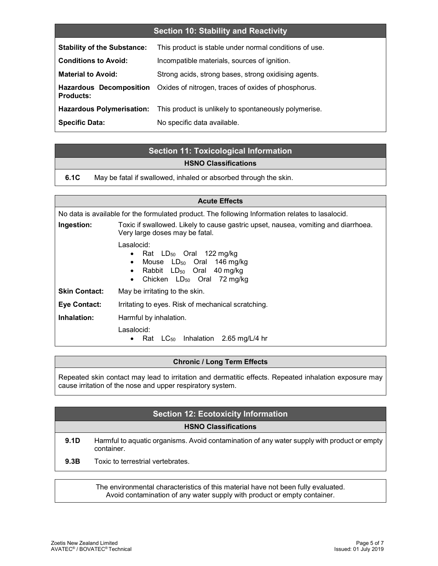### **Section 10: Stability and Reactivity**

| <b>Stability of the Substance:</b>                 | This product is stable under normal conditions of use. |
|----------------------------------------------------|--------------------------------------------------------|
| <b>Conditions to Avoid:</b>                        | Incompatible materials, sources of ignition.           |
| <b>Material to Avoid:</b>                          | Strong acids, strong bases, strong oxidising agents.   |
| <b>Hazardous Decomposition</b><br><b>Products:</b> | Oxides of nitrogen, traces of oxides of phosphorus.    |
| <b>Hazardous Polymerisation:</b>                   | This product is unlikely to spontaneously polymerise.  |
| <b>Specific Data:</b>                              | No specific data available.                            |

### **Section 11: Toxicological Information HSNO Classifications**

**6.1C** May be fatal if swallowed, inhaled or absorbed through the skin.

| <b>Acute Effects</b>                                                                             |                                                                                                                                                                                                   |  |
|--------------------------------------------------------------------------------------------------|---------------------------------------------------------------------------------------------------------------------------------------------------------------------------------------------------|--|
| No data is available for the formulated product. The following Information relates to lasalocid. |                                                                                                                                                                                                   |  |
| Ingestion:                                                                                       | Toxic if swallowed. Likely to cause gastric upset, nausea, vomiting and diarrhoea.<br>Very large doses may be fatal.                                                                              |  |
|                                                                                                  | Lasalocid:<br>• Rat $LD_{50}$ Oral 122 mg/kg<br>Mouse $LD_{50}$ Oral 146 mg/kg<br>$\bullet$<br>Rabbit LD <sub>50</sub> Oral 40 mg/kg<br>$\bullet$<br>Chicken $LD_{50}$ Oral 72 mg/kg<br>$\bullet$ |  |
| <b>Skin Contact:</b>                                                                             | May be irritating to the skin.                                                                                                                                                                    |  |
| Eye Contact:                                                                                     | Irritating to eyes. Risk of mechanical scratching.                                                                                                                                                |  |
| Inhalation:                                                                                      | Harmful by inhalation.                                                                                                                                                                            |  |
|                                                                                                  | Lasalocid:<br>Rat $LC_{50}$ Inhalation 2.65 mg/L/4 hr<br>$\bullet$                                                                                                                                |  |

#### **Chronic / Long Term Effects**

Repeated skin contact may lead to irritation and dermatitic effects. Repeated inhalation exposure may cause irritation of the nose and upper respiratory system.

#### **Section 12: Ecotoxicity Information**

#### **HSNO Classifications**

**9.1D** Harmful to aquatic organisms. Avoid contamination of any water supply with product or empty container.

**9.3B** Toxic to terrestrial vertebrates.

The environmental characteristics of this material have not been fully evaluated. Avoid contamination of any water supply with product or empty container.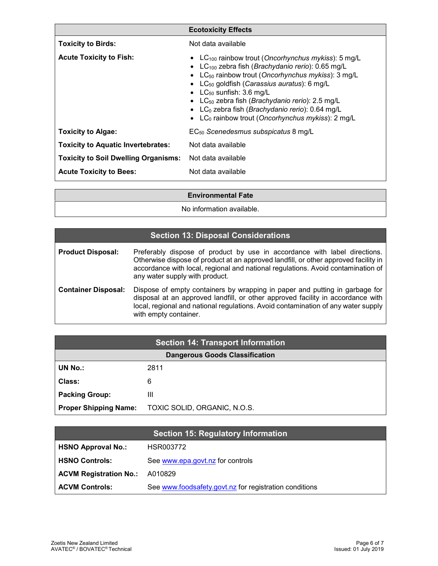|                                             | <b>Ecotoxicity Effects</b>                                                                                                                                                                                                                                                                                                                                                                                                                                                                                             |
|---------------------------------------------|------------------------------------------------------------------------------------------------------------------------------------------------------------------------------------------------------------------------------------------------------------------------------------------------------------------------------------------------------------------------------------------------------------------------------------------------------------------------------------------------------------------------|
| <b>Toxicity to Birds:</b>                   | Not data available                                                                                                                                                                                                                                                                                                                                                                                                                                                                                                     |
| <b>Acute Toxicity to Fish:</b>              | • LC <sub>100</sub> rainbow trout (Oncorhynchus mykiss): 5 mg/L<br>• LC <sub>100</sub> zebra fish (Brachydanio rerio): $0.65$ mg/L<br>• $LC_{50}$ rainbow trout (Oncorhynchus mykiss): 3 mg/L<br>• LC <sub>50</sub> goldfish (Carassius auratus): 6 mg/L<br>• $LC_{50}$ sunfish: 3.6 mg/L<br>• LC <sub>50</sub> zebra fish ( <i>Brachydanio rerio</i> ): 2.5 mg/L<br>• LC <sub>0</sub> zebra fish ( <i>Brachydanio rerio</i> ): $0.64$ mg/L<br>• LC <sub>0</sub> rainbow trout (Oncorhynchus mykiss): $2 \text{ mg/L}$ |
| <b>Toxicity to Algae:</b>                   | EC <sub>50</sub> Scenedesmus subspicatus 8 mg/L                                                                                                                                                                                                                                                                                                                                                                                                                                                                        |
| <b>Toxicity to Aquatic Invertebrates:</b>   | Not data available                                                                                                                                                                                                                                                                                                                                                                                                                                                                                                     |
| <b>Toxicity to Soil Dwelling Organisms:</b> | Not data available                                                                                                                                                                                                                                                                                                                                                                                                                                                                                                     |
| <b>Acute Toxicity to Bees:</b>              | Not data available                                                                                                                                                                                                                                                                                                                                                                                                                                                                                                     |
|                                             |                                                                                                                                                                                                                                                                                                                                                                                                                                                                                                                        |

**Environmental Fate** 

No information available.

| <b>Section 13: Disposal Considerations</b> |                                                                                                                                                                                                                                                                                        |  |
|--------------------------------------------|----------------------------------------------------------------------------------------------------------------------------------------------------------------------------------------------------------------------------------------------------------------------------------------|--|
| <b>Product Disposal:</b>                   | Preferably dispose of product by use in accordance with label directions.<br>Otherwise dispose of product at an approved landfill, or other approved facility in<br>accordance with local, regional and national regulations. Avoid contamination of<br>any water supply with product. |  |
| <b>Container Disposal:</b>                 | Dispose of empty containers by wrapping in paper and putting in garbage for<br>disposal at an approved landfill, or other approved facility in accordance with<br>local, regional and national regulations. Avoid contamination of any water supply<br>with empty container.           |  |

| <b>Section 14: Transport Information</b> |                              |  |  |
|------------------------------------------|------------------------------|--|--|
| <b>Dangerous Goods Classification</b>    |                              |  |  |
| <b>UN No.:</b>                           | 2811                         |  |  |
| Class:                                   | 6                            |  |  |
| <b>Packing Group:</b>                    | Ш                            |  |  |
| <b>Proper Shipping Name:</b>             | TOXIC SOLID, ORGANIC, N.O.S. |  |  |

|                               | <b>Section 15: Regulatory Information</b>              |
|-------------------------------|--------------------------------------------------------|
| <b>HSNO Approval No.:</b>     | HSR003772                                              |
| <b>HSNO Controls:</b>         | See www.epa.govt.nz for controls                       |
| <b>ACVM Registration No.:</b> | A010829                                                |
| <b>ACVM Controls:</b>         | See www.foodsafety.govt.nz for registration conditions |